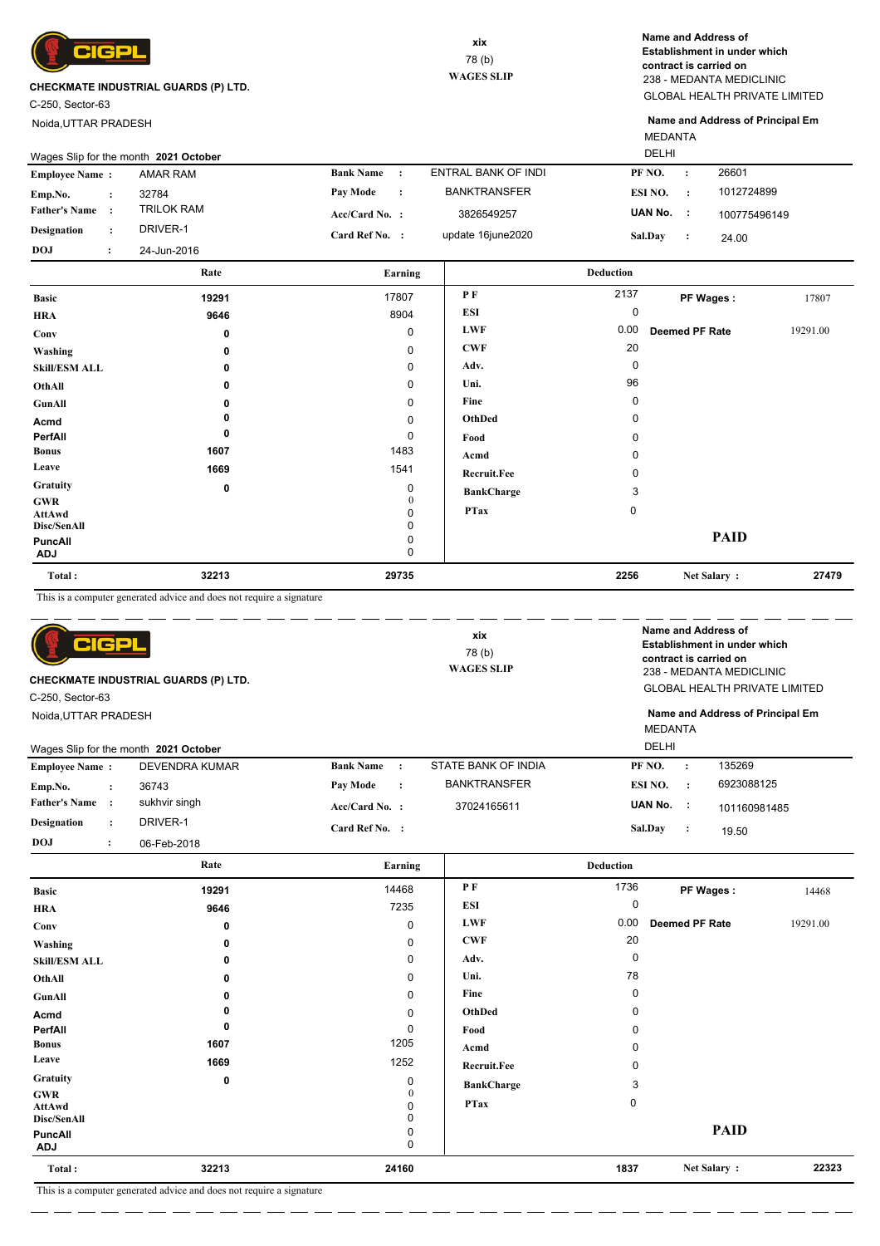

C-250, Sector-63

Noida,UTTAR PRADESH

GLOBAL HEALTH PRIVATE LIMITED 238 - MEDANTA MEDICLINIC **Name and Address of Establishment in under which contract is carried on**

MEDANTA **Name and Address of Principal Em**

|                       |                      | Rate                                  | Earning               |                     | <b>Deduction</b>   |              |
|-----------------------|----------------------|---------------------------------------|-----------------------|---------------------|--------------------|--------------|
| <b>DOJ</b>            |                      | 24-Jun-2016                           |                       |                     |                    |              |
| <b>Designation</b>    | $\ddot{\phantom{0}}$ | DRIVER-1                              | Card Ref No. :        | update 16june2020   | Sal.Day            | 24.00        |
| <b>Father's Name</b>  |                      | <b>TRILOK RAM</b>                     | $Acc/Card No.$ :      | 3826549257          | UAN No. :          | 100775496149 |
| Emp.No.               |                      | 32784                                 | Pav Mode<br>$\cdot$ : | <b>BANKTRANSFER</b> | ESI NO.<br>$\cdot$ | 1012724899   |
| <b>Employee Name:</b> |                      | <b>AMAR RAM</b>                       | <b>Bank Name</b>      | ENTRAL BANK OF INDI | PF NO.             | 26601        |
|                       |                      | Wages Slip for the month 2021 October |                       |                     | <b>DELHI</b>       |              |

|                       |       | 0      |                   |             |                       |          |
|-----------------------|-------|--------|-------------------|-------------|-----------------------|----------|
| <b>Basic</b>          | 19291 | 17807  | P F               | 2137        | PF Wages:             | 17807    |
| <b>HRA</b>            | 9646  | 8904   | <b>ESI</b>        | 0           |                       |          |
| Conv                  | 0     | 0      | <b>LWF</b>        | 0.00        | <b>Deemed PF Rate</b> | 19291.00 |
| Washing               | 0     | 0      | <b>CWF</b>        | 20          |                       |          |
| <b>Skill/ESM ALL</b>  | 0     | 0      | Adv.              | 0           |                       |          |
| OthAll                | 0     | 0      | Uni.              | 96          |                       |          |
| GunAll                | 0     | 0      | Fine              | 0           |                       |          |
| Acmd                  | 0     | 0      | OthDed            | 0           |                       |          |
| PerfAll               | 0     | 0      | Food              | 0           |                       |          |
| <b>Bonus</b>          | 1607  | 1483   | Acmd              | 0           |                       |          |
| Leave                 | 1669  | 1541   | Recruit.Fee       | 0           |                       |          |
| <b>Gratuity</b>       | 0     | 0      | <b>BankCharge</b> | 3           |                       |          |
| <b>GWR</b>            |       | 0<br>0 | <b>PTax</b>       | $\mathbf 0$ |                       |          |
| AttAwd<br>Disc/SenAll |       | 0      |                   |             |                       |          |
| PuncAll<br><b>ADJ</b> |       | 0<br>0 |                   |             | <b>PAID</b>           |          |
| Total:                | 32213 | 29735  |                   | 2256        | Net Salary:           | 27479    |

This is a computer generated advice and does not require a signature

 $=$   $=$  $\overline{\phantom{a}}$  \_ \_\_ \_\_ \_\_ \_

 $\overline{\phantom{a}}$  $\equiv$   $\equiv$  $\overline{\phantom{a}}$  $\overline{\phantom{a}}$ 

| <b>CP</b><br><b>CHECKMATE INDUSTRIAL GUARDS (P) LTD.</b><br>C-250, Sector-63<br>Noida, UTTAR PRADESH |                      |                                       | xix<br>78(b)<br><b>WAGES SLIP</b> |           |                     | Name and Address of<br>Establishment in under which<br>contract is carried on<br>238 - MEDANTA MEDICLINIC<br><b>GLOBAL HEALTH PRIVATE LIMITED</b><br>Name and Address of Principal Em<br><b>MEDANTA</b> |                |         |              |
|------------------------------------------------------------------------------------------------------|----------------------|---------------------------------------|-----------------------------------|-----------|---------------------|---------------------------------------------------------------------------------------------------------------------------------------------------------------------------------------------------------|----------------|---------|--------------|
|                                                                                                      |                      | Wages Slip for the month 2021 October |                                   |           |                     |                                                                                                                                                                                                         | <b>DELHI</b>   |         |              |
| <b>Employee Name:</b>                                                                                |                      | <b>DEVENDRA KUMAR</b>                 | <b>Bank Name</b>                  | $\cdot$ : | STATE BANK OF INDIA |                                                                                                                                                                                                         | PF NO.         |         | 135269       |
| Emp.No.                                                                                              | $\ddot{\cdot}$       | 36743                                 | <b>Pay Mode</b>                   | $\cdot$   | <b>BANKTRANSFER</b> |                                                                                                                                                                                                         | ESI NO.        | $\cdot$ | 6923088125   |
| <b>Father's Name</b>                                                                                 | $\cdot$              | sukhvir singh                         | $Acc/Card No.$ :                  |           | 37024165611         |                                                                                                                                                                                                         | UAN No.        | - 1     | 101160981485 |
| <b>Designation</b>                                                                                   | $\ddot{\phantom{a}}$ | DRIVER-1                              | Card Ref No. :                    |           |                     |                                                                                                                                                                                                         | <b>Sal.Day</b> | . :     | 19.50        |
| <b>DOJ</b>                                                                                           | $\cdot$              | 06-Feb-2018                           |                                   |           |                     |                                                                                                                                                                                                         |                |         |              |

|                              | Rate                                                                 | Earning     |                    | <b>Deduction</b> |                       |          |
|------------------------------|----------------------------------------------------------------------|-------------|--------------------|------------------|-----------------------|----------|
| <b>Basic</b>                 | 19291                                                                | 14468       | PF                 | 1736             | PF Wages:             | 14468    |
| <b>HRA</b>                   | 9646                                                                 | 7235        | <b>ESI</b>         | 0                |                       |          |
| Conv                         | 0                                                                    | $\mathbf 0$ | <b>LWF</b>         | 0.00             | <b>Deemed PF Rate</b> | 19291.00 |
| Washing                      | 0                                                                    | 0           | <b>CWF</b>         | 20               |                       |          |
| <b>Skill/ESM ALL</b>         | 0                                                                    | 0           | Adv.               | 0                |                       |          |
| OthAll                       | 0                                                                    | 0           | Uni.               | 78               |                       |          |
| GunAll                       | n                                                                    | 0           | Fine               | 0                |                       |          |
| Acmd                         |                                                                      | $\mathbf 0$ | OthDed             | 0                |                       |          |
| PerfAll                      | 0                                                                    | 0           | Food               | 0                |                       |          |
| <b>Bonus</b>                 | 1607                                                                 | 1205        | Acmd               | 0                |                       |          |
| Leave                        | 1669                                                                 | 1252        | <b>Recruit.Fee</b> | 0                |                       |          |
| Gratuity                     | 0                                                                    | 0           | <b>BankCharge</b>  | 3                |                       |          |
| <b>GWR</b><br><b>AttAwd</b>  |                                                                      | 0           | <b>PTax</b>        | 0                |                       |          |
| Disc/SenAll                  |                                                                      | $\Omega$    |                    |                  |                       |          |
| <b>PuncAll</b><br><b>ADJ</b> |                                                                      | 0<br>0      |                    |                  | <b>PAID</b>           |          |
| Total:                       | 32213                                                                | 24160       |                    | 1837             | Net Salary:           | 22323    |
|                              | This is a computer generated advice and does not require a signature |             |                    |                  |                       |          |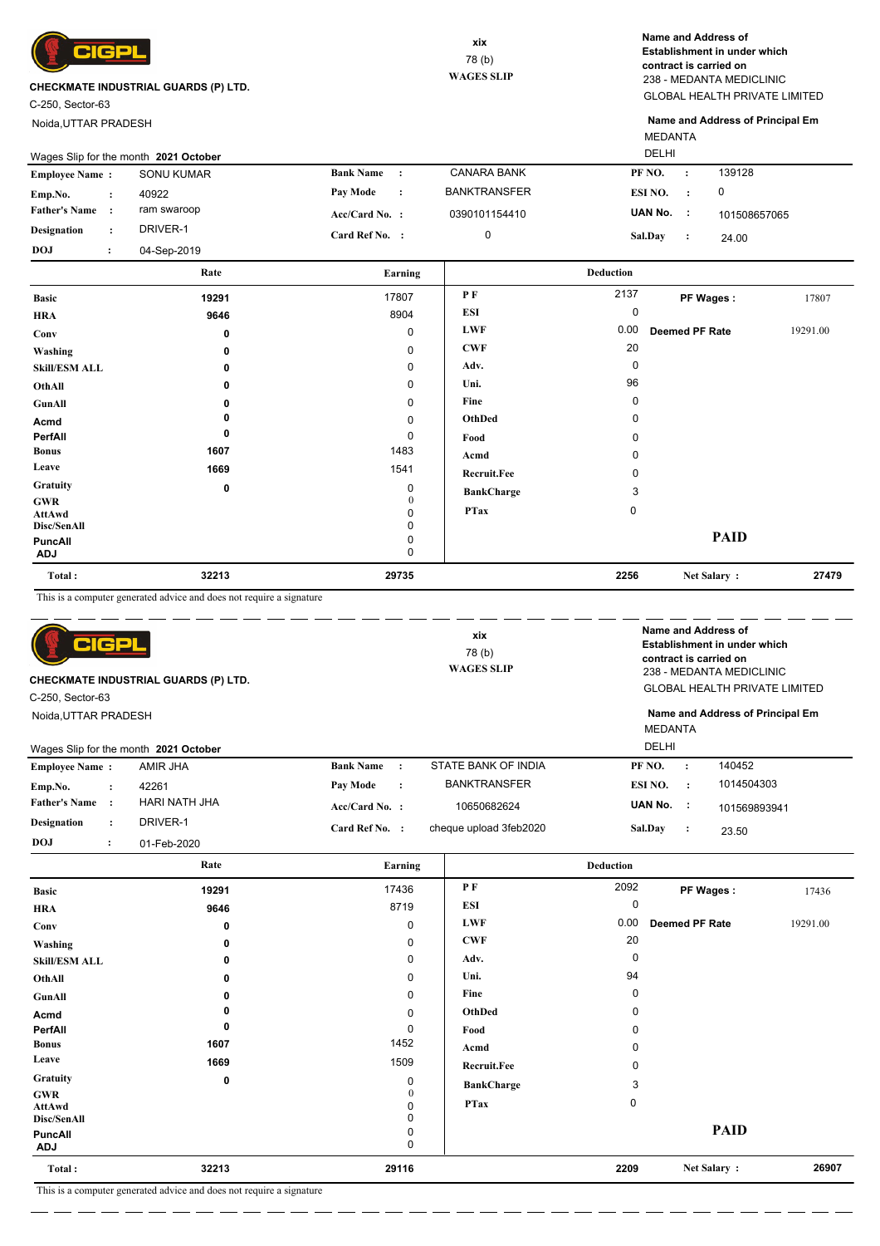

C-250, Sector-63

Noida,UTTAR PRADESH

GLOBAL HEALTH PRIVATE LIMITED 238 - MEDANTA MEDICLINIC **Name and Address of Establishment in under which contract is carried on**

MEDANTA **Name and Address of Principal Em**

| Wages Slip for the month 2021 October |  |             |                  |           |                     |                |           |              |
|---------------------------------------|--|-------------|------------------|-----------|---------------------|----------------|-----------|--------------|
| <b>Employee Name:</b>                 |  | SONU KUMAR  | <b>Bank Name</b> | $\cdot$ : | <b>CANARA BANK</b>  | PF NO.         |           | 139128       |
| Emp.No.                               |  | 40922       | Pay Mode         | $\cdot$ : | <b>BANKTRANSFER</b> | ESI NO.        | $\sim$ 1. |              |
| <b>Father's Name</b>                  |  | ram swaroop | $Acc/Card No.$ : |           | 0390101154410       | UAN No. :      |           | 101508657065 |
| <b>Designation</b>                    |  | DRIVER-1    | Card Ref No. :   |           |                     | <b>Sal.Day</b> |           | 24.00        |
| <b>DOJ</b>                            |  | 04-Sep-2019 |                  |           |                     |                |           |              |

|                              | Rate  | Earning           |                   | <b>Deduction</b> |                |          |
|------------------------------|-------|-------------------|-------------------|------------------|----------------|----------|
| <b>Basic</b>                 | 19291 | 17807             | PF                | 2137             | PF Wages:      | 17807    |
| <b>HRA</b>                   | 9646  | 8904              | ESI               | 0                |                |          |
| Conv                         | 0     | $\mathbf 0$       | <b>LWF</b>        | 0.00             | Deemed PF Rate | 19291.00 |
| Washing                      | 0     | 0                 | <b>CWF</b>        | 20               |                |          |
| <b>Skill/ESM ALL</b>         | 0     | 0                 | Adv.              | 0                |                |          |
| OthAll                       | 0     | 0                 | Uni.              | 96               |                |          |
| GunAll                       | 0     | 0                 | Fine              | 0                |                |          |
| Acmd                         |       | 0                 | OthDed            | 0                |                |          |
| PerfAll                      | 0     | 0                 | Food              | 0                |                |          |
| <b>Bonus</b>                 | 1607  | 1483              | Acmd              | 0                |                |          |
| Leave                        | 1669  | 1541              | Recruit.Fee       | 0                |                |          |
| Gratuity                     | 0     | 0                 | <b>BankCharge</b> | 3                |                |          |
| <b>GWR</b><br>AttAwd         |       | $\mathbf{0}$<br>0 | <b>PTax</b>       | $\mathbf 0$      |                |          |
| Disc/SenAll                  |       | 0                 |                   |                  |                |          |
| <b>PuncAll</b><br><b>ADJ</b> |       | 0<br>0            |                   |                  | <b>PAID</b>    |          |
| Total:                       | 32213 | 29735             |                   | 2256             | Net Salary:    | 27479    |

This is a computer generated advice and does not require a signature

| elcp<br><b>CHECKMATE INDUSTRIAL GUARDS (P) LTD.</b><br>C-250, Sector-63<br>Noida, UTTAR PRADESH<br>Wages Slip for the month 2021 October |                      |               | xix<br>78(b)<br><b>WAGES SLIP</b> |  |                        | MEDANTA<br>DELHI |                | Name and Address of<br>Establishment in under which<br>contract is carried on<br>238 - MEDANTA MEDICLINIC<br><b>GLOBAL HEALTH PRIVATE LIMITED</b><br>Name and Address of Principal Em |              |
|------------------------------------------------------------------------------------------------------------------------------------------|----------------------|---------------|-----------------------------------|--|------------------------|------------------|----------------|---------------------------------------------------------------------------------------------------------------------------------------------------------------------------------------|--------------|
| <b>Employee Name:</b>                                                                                                                    |                      | AMIR JHA      | <b>Bank Name</b><br>$\cdot$ :     |  | STATE BANK OF INDIA    |                  | PF NO.         | $\cdot$ :                                                                                                                                                                             | 140452       |
| Emp.No.                                                                                                                                  | $\ddot{\phantom{a}}$ | 42261         | Pay Mode<br>$\cdot$ :             |  | <b>BANKTRANSFER</b>    |                  | ESI NO.        | $\cdot$ :                                                                                                                                                                             | 1014504303   |
| <b>Father's Name</b>                                                                                                                     |                      | HARI NATH JHA | Acc/Card No. :                    |  | 10650682624            |                  | UAN No. :      |                                                                                                                                                                                       | 101569893941 |
| <b>Designation</b>                                                                                                                       | $\ddot{\phantom{a}}$ | DRIVER-1      | Card Ref No. :                    |  | cheque upload 3feb2020 |                  | <b>Sal.Dav</b> | $\cdot$ :                                                                                                                                                                             | 23.50        |
| <b>DOJ</b>                                                                                                                               | $\ddot{\cdot}$       | 01-Feb-2020   |                                   |  |                        |                  |                |                                                                                                                                                                                       |              |

|                                            | Rate                                  | Earning     |                   | <b>Deduction</b> |                |          |
|--------------------------------------------|---------------------------------------|-------------|-------------------|------------------|----------------|----------|
| <b>Basic</b>                               | 19291                                 | 17436       | P F               | 2092             | PF Wages:      | 17436    |
| <b>HRA</b>                                 | 9646                                  | 8719        | <b>ESI</b>        | 0                |                |          |
| Conv                                       | 0                                     | 0           | <b>LWF</b>        | 0.00             | Deemed PF Rate | 19291.00 |
| Washing                                    | 0                                     | $\mathbf 0$ | <b>CWF</b>        | 20               |                |          |
| <b>Skill/ESM ALL</b>                       | 0                                     | 0           | Adv.              | 0                |                |          |
| OthAll                                     | 0                                     | 0           | Uni.              | 94               |                |          |
| GunAll                                     | 0                                     | $\mathbf 0$ | Fine              | $\Omega$         |                |          |
| Acmd                                       |                                       | $\mathbf 0$ | OthDed            | 0                |                |          |
| PerfAll                                    | 0                                     | 0           | Food              | 0                |                |          |
| <b>Bonus</b>                               | 1607                                  | 1452        | Acmd              | 0                |                |          |
| Leave                                      | 1669                                  | 1509        | Recruit.Fee       | 0                |                |          |
| Gratuity                                   | 0                                     | 0           | <b>BankCharge</b> | 3                |                |          |
| <b>GWR</b><br><b>AttAwd</b><br>Disc/SenAll |                                       | $\Omega$    | <b>PTax</b>       | 0                |                |          |
| <b>PuncAll</b><br><b>ADJ</b>               |                                       | 0<br>0      |                   |                  | <b>PAID</b>    |          |
| Total:                                     | 32213                                 | 29116       |                   | 2209             | Net Salary:    | 26907    |
|                                            | $\sim$ $\sim$ $\sim$<br>$\sim$ $\sim$ |             |                   |                  |                |          |

This is a computer generated advice and does not require a signature

— — —

- - - - - - - - - - - -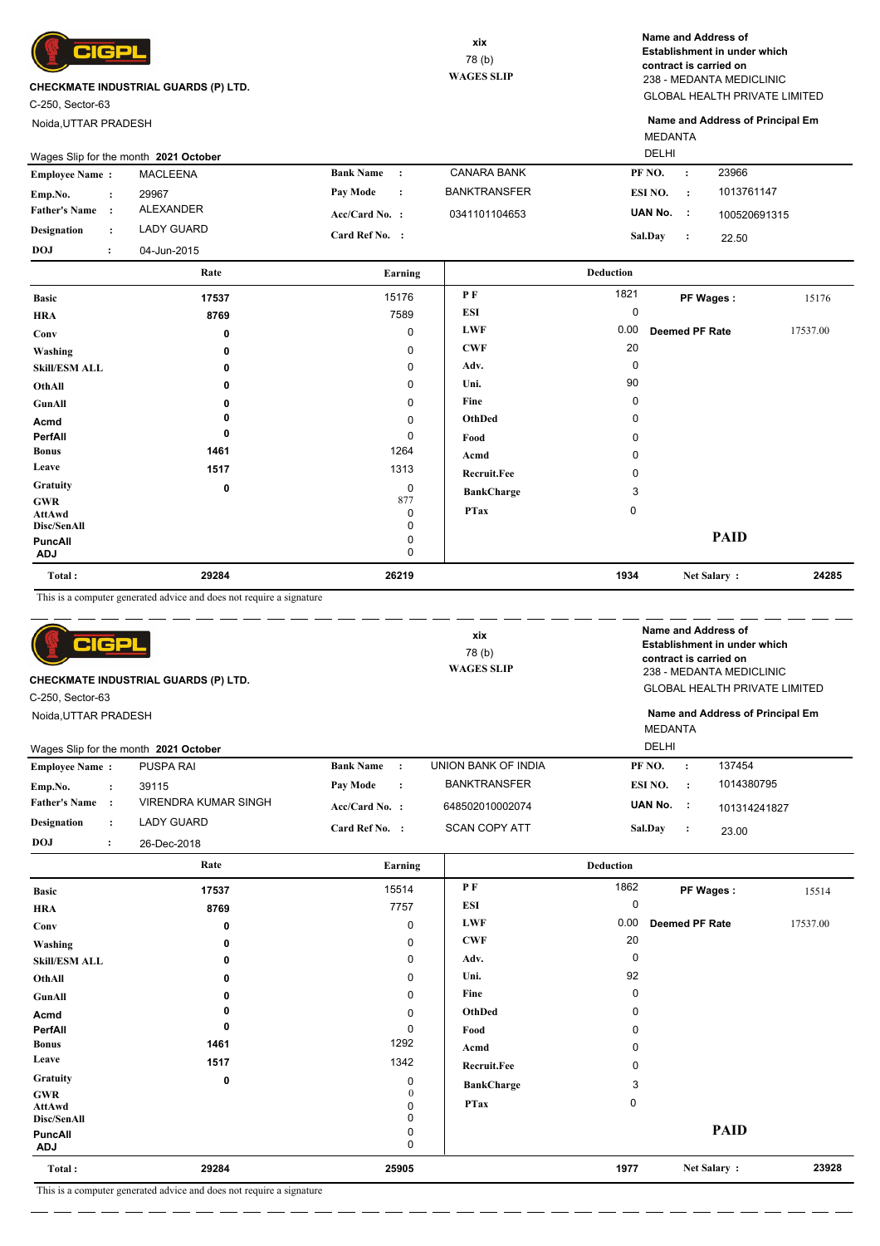

C-250, Sector-63

Noida,UTTAR PRADESH

GLOBAL HEALTH PRIVATE LIMITED 238 - MEDANTA MEDICLINIC **Name and Address of Establishment in under which contract is carried on**

MEDANTA **Name and Address of Principal Em**

| <b>DELHI</b><br>Wages Slip for the month 2021 October |  |                 |                  |           |                     |         |  |              |  |  |
|-------------------------------------------------------|--|-----------------|------------------|-----------|---------------------|---------|--|--------------|--|--|
| <b>Employee Name:</b>                                 |  | <b>MACLEENA</b> | <b>Bank Name</b> |           | CANARA BANK         | PF NO.  |  | 23966        |  |  |
| Emp.No.                                               |  | 29967           | Pay Mode         | $\sim$ 1. | <b>BANKTRANSFER</b> | ESI NO. |  | 1013761147   |  |  |
| <b>Father's Name</b>                                  |  | ALEXANDER       | $Acc/Card No.$ : |           | 0341101104653       | UAN No. |  | 100520691315 |  |  |
| <b>Designation</b>                                    |  | LADY GUARD      | Card Ref No. :   |           |                     | Sal.Dav |  | 22.50        |  |  |
| <b>DOJ</b>                                            |  | 04-Jun-2015     |                  |           |                     |         |  |              |  |  |

|                       | Rate  | Earning  |                    | <b>Deduction</b> |                |          |
|-----------------------|-------|----------|--------------------|------------------|----------------|----------|
| <b>Basic</b>          | 17537 | 15176    | PF                 | 1821             | PF Wages:      | 15176    |
| <b>HRA</b>            | 8769  | 7589     | ESI                | 0                |                |          |
| Conv                  | 0     | 0        | <b>LWF</b>         | 0.00             | Deemed PF Rate | 17537.00 |
| Washing               | 0     | 0        | <b>CWF</b>         | 20               |                |          |
| <b>Skill/ESM ALL</b>  | 0     | 0        | Adv.               | $\mathbf 0$      |                |          |
| OthAll                | 0     | 0        | Uni.               | 90               |                |          |
| GunAll                |       | 0        | Fine               | 0                |                |          |
| Acmd                  |       | 0        | OthDed             | 0                |                |          |
| PerfAll               | 0     | 0        | Food               | 0                |                |          |
| <b>Bonus</b>          | 1461  | 1264     | Acmd               | 0                |                |          |
| Leave                 | 1517  | 1313     | <b>Recruit.Fee</b> | 0                |                |          |
| Gratuity              | 0     | 0        | <b>BankCharge</b>  | 3                |                |          |
| <b>GWR</b>            |       | 877<br>0 | <b>PTax</b>        | 0                |                |          |
| AttAwd<br>Disc/SenAll |       | 0        |                    |                  |                |          |
| PuncAll<br><b>ADJ</b> |       | 0<br>0   |                    |                  | <b>PAID</b>    |          |
| Total:                | 29284 | 26219    |                    | 1934             | Net Salary:    | 24285    |

This is a computer generated advice and does not require a signature

| 머더의<br>CHECKMATE INDUSTRIAL GUARDS (P) LTD.<br>C-250, Sector-63<br>Noida, UTTAR PRADESH |                      |                                       | xix<br>78 (b)<br><b>WAGES SLIP</b> |           |                      | Name and Address of<br>Establishment in under which<br>contract is carried on<br>238 - MEDANTA MEDICLINIC<br><b>GLOBAL HEALTH PRIVATE LIMITED</b><br>Name and Address of Principal Em<br><b>MEDANTA</b> |           |              |  |
|-----------------------------------------------------------------------------------------|----------------------|---------------------------------------|------------------------------------|-----------|----------------------|---------------------------------------------------------------------------------------------------------------------------------------------------------------------------------------------------------|-----------|--------------|--|
|                                                                                         |                      | Wages Slip for the month 2021 October |                                    |           |                      | <b>DELHI</b>                                                                                                                                                                                            |           |              |  |
| <b>Employee Name:</b>                                                                   |                      | <b>PUSPA RAI</b>                      | <b>Bank Name</b>                   | $\cdot$ : | UNION BANK OF INDIA  | PF NO.                                                                                                                                                                                                  | $\cdot$   | 137454       |  |
| Emp.No.                                                                                 | $\ddot{\phantom{a}}$ | 39115                                 | <b>Pay Mode</b>                    | $\cdot$   | <b>BANKTRANSFER</b>  | ESI NO.                                                                                                                                                                                                 | $\cdot$ : | 1014380795   |  |
| <b>Father's Name</b>                                                                    | $\cdot$ :            | VIRENDRA KUMAR SINGH                  | $Acc/Card No.$ :                   |           | 648502010002074      | UAN No. :                                                                                                                                                                                               |           | 101314241827 |  |
| <b>Designation</b>                                                                      | $\ddot{\phantom{a}}$ | <b>LADY GUARD</b>                     | Card Ref No. :                     |           | <b>SCAN COPY ATT</b> | Sal.Day                                                                                                                                                                                                 | $\cdot$   | 23.00        |  |
| <b>DOJ</b>                                                                              | $\ddot{\cdot}$       | 26-Dec-2018                           |                                    |           |                      |                                                                                                                                                                                                         |           |              |  |
|                                                                                         |                      |                                       |                                    |           |                      |                                                                                                                                                                                                         |           |              |  |

|                                     | Rate                                         | Earning     |                   | <b>Deduction</b> |                       |          |
|-------------------------------------|----------------------------------------------|-------------|-------------------|------------------|-----------------------|----------|
| <b>Basic</b>                        | 17537                                        | 15514       | P F               | 1862             | PF Wages:             | 15514    |
| <b>HRA</b>                          | 8769                                         | 7757        | ESI               | 0                |                       |          |
| Conv                                | 0                                            | 0           | <b>LWF</b>        | 0.00             | <b>Deemed PF Rate</b> | 17537.00 |
| Washing                             | 0                                            | $\mathbf 0$ | <b>CWF</b>        | 20               |                       |          |
| <b>Skill/ESM ALL</b>                | 0                                            | $\mathbf 0$ | Adv.              | $\Omega$         |                       |          |
| OthAll                              | 0                                            | 0           | Uni.              | 92               |                       |          |
| GunAll                              | 0                                            | $\mathbf 0$ | Fine              | 0                |                       |          |
| Acmd                                |                                              | $\mathbf 0$ | OthDed            |                  |                       |          |
| PerfAll                             | 0                                            | 0           | Food              |                  |                       |          |
| <b>Bonus</b>                        | 1461                                         | 1292        | Acmd              |                  |                       |          |
| Leave                               | 1517                                         | 1342        | Recruit.Fee       |                  |                       |          |
| Gratuity                            | 0                                            | 0           | <b>BankCharge</b> | 3                |                       |          |
| <b>GWR</b><br>AttAwd<br>Disc/SenAll |                                              | 0<br>ი<br>0 | <b>PTax</b>       | $\mathbf 0$      |                       |          |
| PuncAll<br><b>ADJ</b>               |                                              | 0<br>0      |                   |                  | <b>PAID</b>           |          |
| Total:                              | 29284                                        | 25905       |                   | 1977             | Net Salary:           | 23928    |
| $-$                                 | .<br>$\cdots$<br>$\sim$ $\sim$ $\sim$ $\sim$ |             |                   |                  |                       |          |

. <u>. . . . . . . . .</u> . . . . .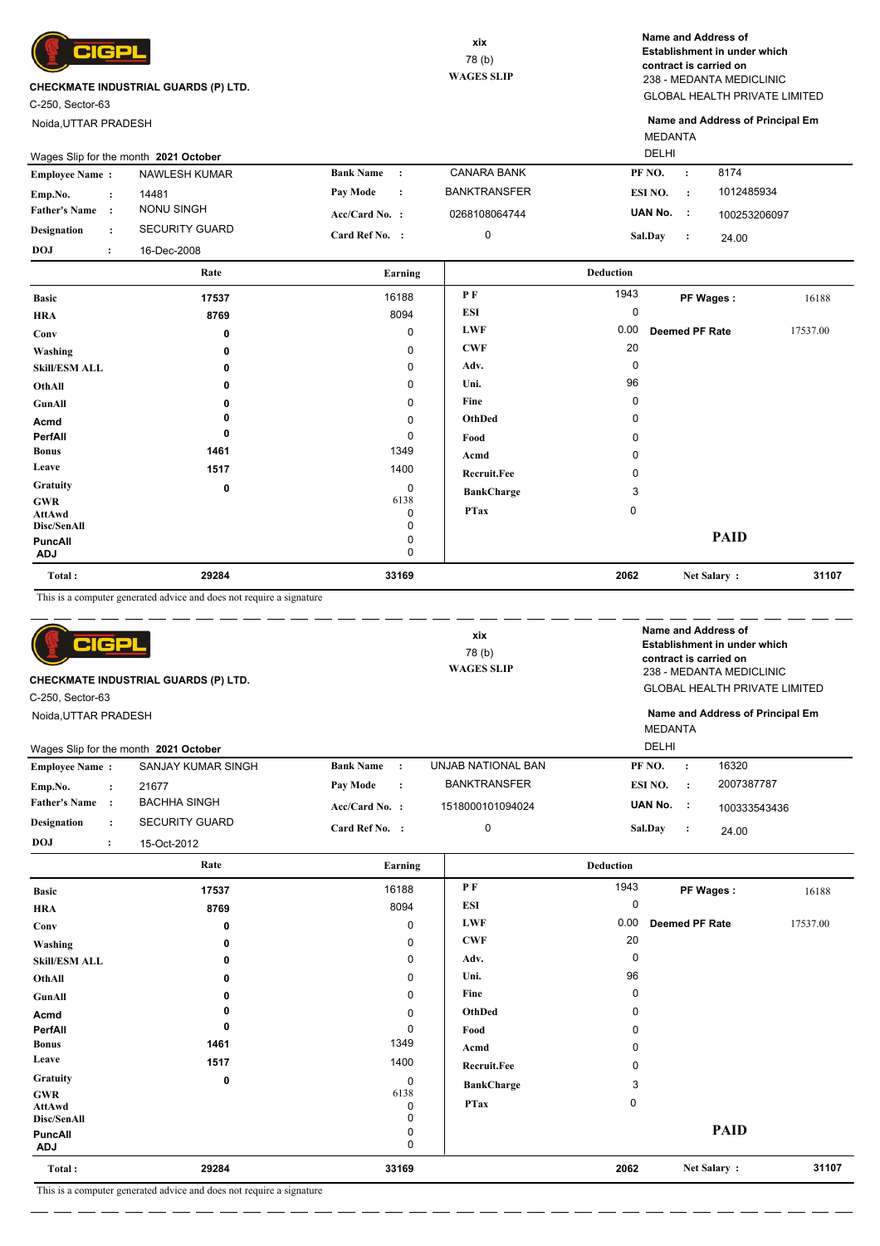

C-250, Sector-63

Noida,UTTAR PRADESH

GLOBAL HEALTH PRIVATE LIMITED 238 - MEDANTA MEDICLINIC **Name and Address of Establishment in under which contract is carried on**

MEDANTA **Name and Address of Principal Em**

| DELHI<br>Wages Slip for the month 2021 October |  |                       |                  |           |                     |           |           |              |
|------------------------------------------------|--|-----------------------|------------------|-----------|---------------------|-----------|-----------|--------------|
| <b>Employee Name:</b>                          |  | NAWLESH KUMAR         | <b>Bank Name</b> | $\cdot$   | <b>CANARA BANK</b>  | PF NO.    | $\cdot$   | 8174         |
| Emp.No.                                        |  | 14481                 | Pav Mode         | $\cdot$ : | <b>BANKTRANSFER</b> | ESI NO.   | $\cdot$ : | 1012485934   |
| <b>Father's Name</b>                           |  | NONU SINGH            | $Acc/Card No.$ : |           | 0268108064744       | UAN No. : |           | 100253206097 |
| Designation                                    |  | <b>SECURITY GUARD</b> | Card Ref No. :   |           |                     | Sal.Day   |           | 24.00        |
| <b>DOJ</b>                                     |  | 16-Dec-2008           |                  |           |                     |           |           |              |

|                              | Rate  | Earning     |                   | <b>Deduction</b> |                |          |
|------------------------------|-------|-------------|-------------------|------------------|----------------|----------|
| <b>Basic</b>                 | 17537 | 16188       | PF                | 1943             | PF Wages:      | 16188    |
| <b>HRA</b>                   | 8769  | 8094        | ESI               | 0                |                |          |
| Conv                         | 0     | $\mathbf 0$ | <b>LWF</b>        | 0.00             | Deemed PF Rate | 17537.00 |
| Washing                      | 0     | 0           | <b>CWF</b>        | 20               |                |          |
| <b>Skill/ESM ALL</b>         | 0     | 0           | Adv.              | 0                |                |          |
| OthAll                       | 0     | 0           | Uni.              | 96               |                |          |
| GunAll                       | 0     | 0           | Fine              | 0                |                |          |
| Acmd                         |       | 0           | OthDed            | 0                |                |          |
| PerfAll                      | 0     | 0           | Food              | 0                |                |          |
| <b>Bonus</b>                 | 1461  | 1349        | Acmd              | 0                |                |          |
| Leave                        | 1517  | 1400        | Recruit.Fee       | 0                |                |          |
| Gratuity                     | 0     | 0           | <b>BankCharge</b> | 3                |                |          |
| <b>GWR</b><br><b>AttAwd</b>  |       | 6138<br>0   | <b>PTax</b>       | $\mathbf 0$      |                |          |
| Disc/SenAll                  |       | 0           |                   |                  |                |          |
| <b>PuncAll</b><br><b>ADJ</b> |       | 0<br>0      |                   |                  | <b>PAID</b>    |          |
| Total:                       | 29284 | 33169       |                   | 2062             | Net Salary:    | 31107    |

This is a computer generated advice and does not require a signature

| CIGP<br>CHECKMATE INDUSTRIAL GUARDS (P) LTD.<br>C-250, Sector-63<br>Noida, UTTAR PRADESH |                                       |                               | Name and Address of<br>xix<br><b>Establishment in under which</b><br>78 (b)<br>contract is carried on<br><b>WAGES SLIP</b><br>238 - MEDANTA MEDICLINIC<br><b>GLOBAL HEALTH PRIVATE LIMITED</b> |                                                    |                         |          |
|------------------------------------------------------------------------------------------|---------------------------------------|-------------------------------|------------------------------------------------------------------------------------------------------------------------------------------------------------------------------------------------|----------------------------------------------------|-------------------------|----------|
|                                                                                          |                                       |                               |                                                                                                                                                                                                |                                                    |                         |          |
|                                                                                          |                                       |                               |                                                                                                                                                                                                | Name and Address of Principal Em<br><b>MEDANTA</b> |                         |          |
|                                                                                          | Wages Slip for the month 2021 October |                               |                                                                                                                                                                                                | DELHI                                              |                         |          |
| <b>Employee Name:</b>                                                                    | SANJAY KUMAR SINGH                    | <b>Bank Name</b><br>$\cdot$ : | <b>UNJAB NATIONAL BAN</b>                                                                                                                                                                      | PF <sub>NO</sub> .                                 | 16320<br>$\cdot$        |          |
| Emp.No.<br>$\ddot{\phantom{a}}$                                                          | 21677                                 | Pay Mode<br>$\cdot$           | <b>BANKTRANSFER</b>                                                                                                                                                                            | ESI NO.                                            | 2007387787<br>$\cdot$ : |          |
| <b>Father's Name</b><br>$\cdot$ :                                                        | <b>BACHHA SINGH</b>                   | Acc/Card No. :                | 1518000101094024                                                                                                                                                                               | UAN No.                                            | - 1<br>100333543436     |          |
| <b>Designation</b><br>$\ddot{\cdot}$                                                     | <b>SECURITY GUARD</b>                 | Card Ref No. :                | 0                                                                                                                                                                                              | Sal.Day                                            | $\ddot{\cdot}$<br>24.00 |          |
| <b>DOJ</b><br>$\ddot{\phantom{a}}$                                                       | 15-Oct-2012                           |                               |                                                                                                                                                                                                |                                                    |                         |          |
|                                                                                          | Rate                                  | Earning                       |                                                                                                                                                                                                | <b>Deduction</b>                                   |                         |          |
| <b>Basic</b>                                                                             | 17537                                 | 16188                         | PF                                                                                                                                                                                             | 1943                                               | PF Wages:               | 16188    |
| <b>HRA</b>                                                                               | 8769                                  | 8094                          | <b>ESI</b>                                                                                                                                                                                     | 0                                                  |                         |          |
| Conv                                                                                     | 0                                     | $\Omega$                      | <b>LWF</b>                                                                                                                                                                                     | 0.00                                               | <b>Deemed PF Rate</b>   | 17537.00 |
| Washing                                                                                  | 0                                     | 0                             | CWF                                                                                                                                                                                            | 20                                                 |                         |          |
| <b>Skill/ESM ALL</b>                                                                     | 0                                     | 0                             | Adv.                                                                                                                                                                                           | $\Omega$                                           |                         |          |
| OthAll                                                                                   | 0                                     | 0                             | Uni.                                                                                                                                                                                           | 96                                                 |                         |          |
| <b>GunAll</b>                                                                            | 0                                     | 0                             | Fine                                                                                                                                                                                           | 0                                                  |                         |          |
| Acmd                                                                                     | 0                                     | 0                             | OthDed                                                                                                                                                                                         |                                                    |                         |          |
| PerfAll                                                                                  | 0                                     | 0                             | Food                                                                                                                                                                                           |                                                    |                         |          |
| <b>Bonus</b>                                                                             | 1461                                  | 1349                          | Acmd                                                                                                                                                                                           | <sup>n</sup>                                       |                         |          |

 $\overline{0}$ 6138

1400

**Recruit.Fee**

**BankCharge** 3

**PTax** 0

 $\overline{0}$  $\check{\circ}$  $0$ 

 **33169**

 **0 1517**

**ADJ** 0

 **29284**

**Leave Gratuity GWR AttAwd Disc/SenAll PuncAll**

**Total :**

 **2062 31107 Net Salary :**

**PAID**

0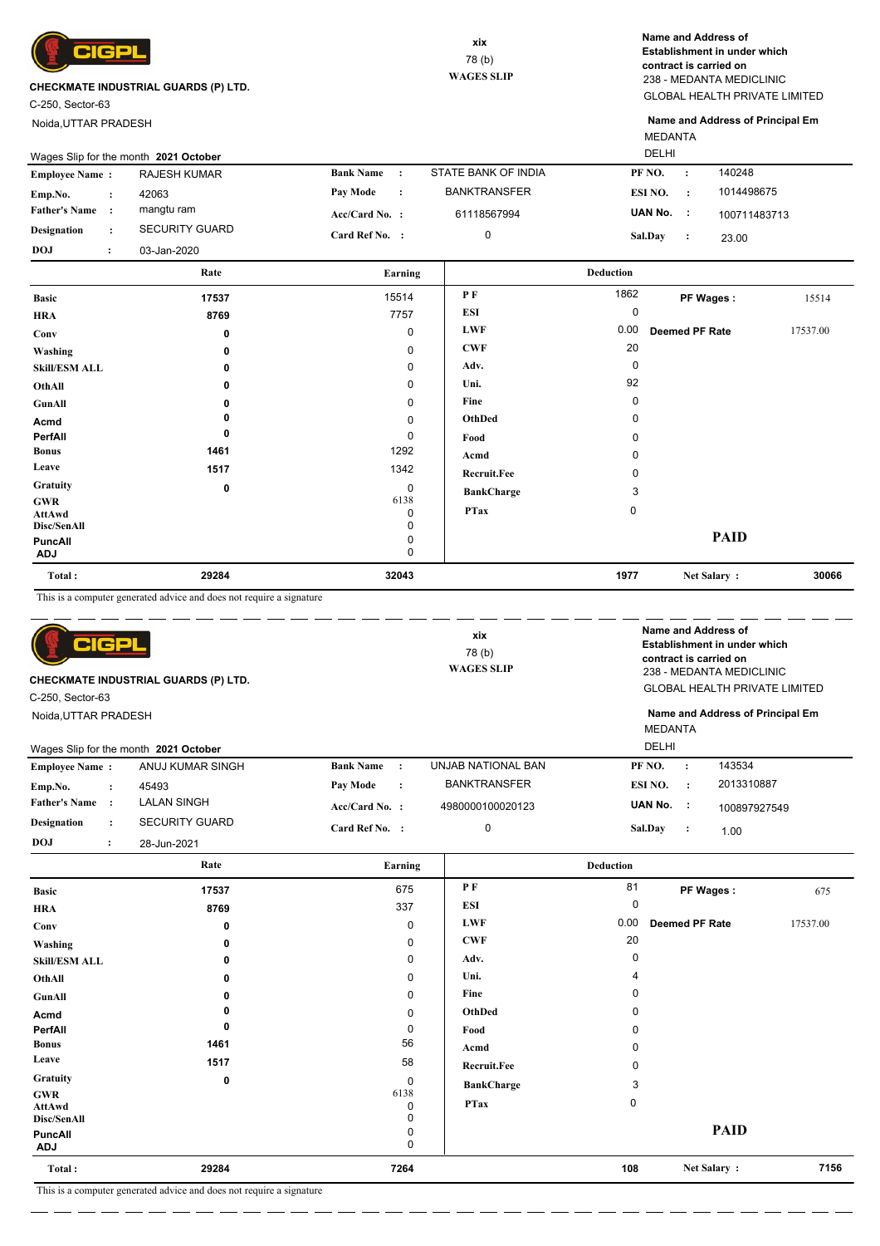

C-250, Sector-63

Noida,UTTAR PRADESH

GLOBAL HEALTH PRIVATE LIMITED 238 - MEDANTA MEDICLINIC **Name and Address of Establishment in under which contract is carried on**

MEDANTA **Name and Address of Principal Em**

| <b>DELHI</b><br>Wages Slip for the month 2021 October |  |                       |                  |                      |                     |                |  |              |
|-------------------------------------------------------|--|-----------------------|------------------|----------------------|---------------------|----------------|--|--------------|
| <b>Employee Name:</b>                                 |  | <b>RAJESH KUMAR</b>   | <b>Bank Name</b> |                      | STATE BANK OF INDIA | PF NO.         |  | 140248       |
| Emp.No.                                               |  | 42063                 | Pay Mode         | $\ddot{\phantom{0}}$ | <b>BANKTRANSFER</b> | ESI NO.        |  | 1014498675   |
| <b>Father's Name</b>                                  |  | mangtu ram            | $Acc/Card No.$ : |                      | 61118567994         | UAN No.        |  | 100711483713 |
| <b>Designation</b>                                    |  | <b>SECURITY GUARD</b> | Card Ref No. :   |                      |                     | <b>Sal.Day</b> |  | 23.00        |
| <b>DOJ</b>                                            |  | 03-Jan-2020           |                  |                      |                     |                |  |              |

|                                            | Rate     | Earning        |                   | <b>Deduction</b> |                       |          |
|--------------------------------------------|----------|----------------|-------------------|------------------|-----------------------|----------|
| <b>Basic</b>                               | 17537    | 15514          | P F               | 1862             | PF Wages:             | 15514    |
| <b>HRA</b>                                 | 8769     | 7757           | ESI               | 0                |                       |          |
| Conv                                       | 0        | 0              | <b>LWF</b>        | 0.00             | <b>Deemed PF Rate</b> | 17537.00 |
| Washing                                    | 0        | 0              | <b>CWF</b>        | 20               |                       |          |
| <b>Skill/ESM ALL</b>                       | 0        | 0              | Adv.              | $\Omega$         |                       |          |
| OthAll                                     | $\Omega$ | 0              | Uni.              | 92               |                       |          |
| GunAll                                     | 0        | 0              | Fine              | 0                |                       |          |
| Acmd                                       |          | $\mathbf 0$    | OthDed            | 0                |                       |          |
| PerfAll                                    | 0        | 0              | Food              | <sup>0</sup>     |                       |          |
| <b>Bonus</b>                               | 1461     | 1292           | Acmd              | 0                |                       |          |
| Leave                                      | 1517     | 1342           | Recruit.Fee       |                  |                       |          |
| <b>Gratuity</b>                            | 0        | $\mathbf 0$    | <b>BankCharge</b> | 3                |                       |          |
| <b>GWR</b><br><b>AttAwd</b><br>Disc/SenAll |          | 6138<br>0<br>0 | <b>PTax</b>       | 0                |                       |          |
| <b>PuncAll</b><br><b>ADJ</b>               |          | 0<br>0         |                   |                  | <b>PAID</b>           |          |
| Total:                                     | 29284    | 32043          |                   | 1977             | Net Salary:           | 30066    |

This is a computer generated advice and does not require a signature

| CIGPL<br>CHECKMATE INDUSTRIAL GUARDS (P) LTD.<br>C-250, Sector-63 |                |                                       | xix<br>78(b)<br><b>WAGES SLIP</b> | Name and Address of<br>Establishment in under which<br>contract is carried on<br>238 - MEDANTA MEDICLINIC<br><b>GLOBAL HEALTH PRIVATE LIMITED</b> |                         |                       |                                  |
|-------------------------------------------------------------------|----------------|---------------------------------------|-----------------------------------|---------------------------------------------------------------------------------------------------------------------------------------------------|-------------------------|-----------------------|----------------------------------|
| Noida, UTTAR PRADESH                                              |                | Wages Slip for the month 2021 October |                                   |                                                                                                                                                   | <b>MEDANTA</b><br>DELHI |                       | Name and Address of Principal Em |
| <b>Employee Name:</b>                                             |                | ANUJ KUMAR SINGH                      | <b>Bank Name</b><br>$\cdot$ :     | UNJAB NATIONAL BAN                                                                                                                                | PF NO.                  | $\cdot$               | 143534                           |
| Emp.No.                                                           | $\ddot{\cdot}$ | 45493                                 | Pay Mode<br>$\ddot{\cdot}$        | <b>BANKTRANSFER</b>                                                                                                                               | ESI NO.                 | $\cdot$ :             | 2013310887                       |
| <b>Father's Name</b>                                              | $\cdot$ :      | <b>LALAN SINGH</b>                    | $Acc/Card No.$ :                  | 4980000100020123                                                                                                                                  | UAN No.                 | $\sim$ 1.             | 100897927549                     |
| <b>Designation</b>                                                | $\ddot{\cdot}$ | <b>SECURITY GUARD</b>                 | Card Ref No. :                    | $\mathbf 0$                                                                                                                                       | Sal.Day                 | $\cdot$ :<br>1.00     |                                  |
| <b>DOJ</b>                                                        | $\ddot{\cdot}$ | 28-Jun-2021                           |                                   |                                                                                                                                                   |                         |                       |                                  |
|                                                                   |                | Rate                                  | Earning                           |                                                                                                                                                   | <b>Deduction</b>        |                       |                                  |
| <b>Basic</b>                                                      |                | 17537                                 | 675                               | <b>PF</b>                                                                                                                                         | 81                      | PF Wages:             | 675                              |
| <b>HRA</b>                                                        |                | 8769                                  | 337                               | <b>ESI</b>                                                                                                                                        | 0                       |                       |                                  |
| Conv                                                              |                | 0                                     | 0                                 | <b>LWF</b>                                                                                                                                        | 0.00                    | <b>Deemed PF Rate</b> | 17537.00                         |
|                                                                   |                |                                       |                                   | $\sim$                                                                                                                                            | $\sim$                  |                       |                                  |

| 7156 |
|------|
|      |
|      |
|      |
|      |
|      |
|      |
|      |
|      |
|      |
|      |
|      |
|      |
|      |
|      |

This is a computer generated advice and does not require a signature  $\overline{\phantom{a}}$ 

 $\overline{\phantom{a}}$ ц.,

 $=$   $=$   $-$